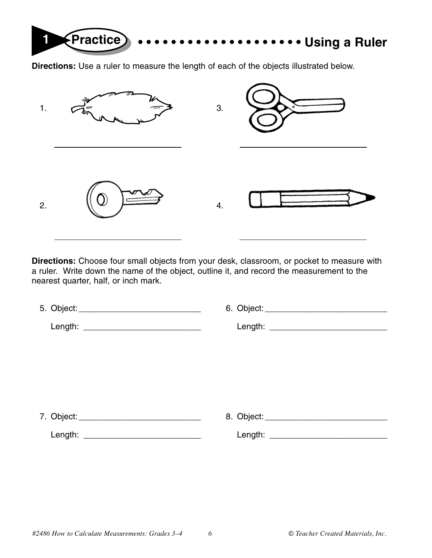

**Directions:** Use a ruler to measure the length of each of the objects illustrated below.



**Directions:** Choose four small objects from your desk, classroom, or pocket to measure with a ruler. Write down the name of the object, outline it, and record the measurement to the nearest quarter, half, or inch mark.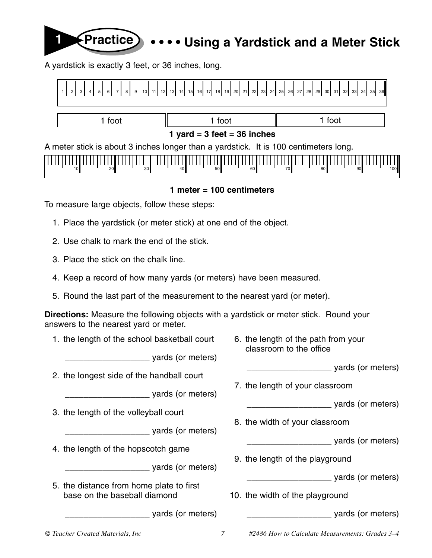## **1 Practice • • • • Using a Yardstick and a Meter Stick**

A yardstick is exactly 3 feet, or 36 inches, long.